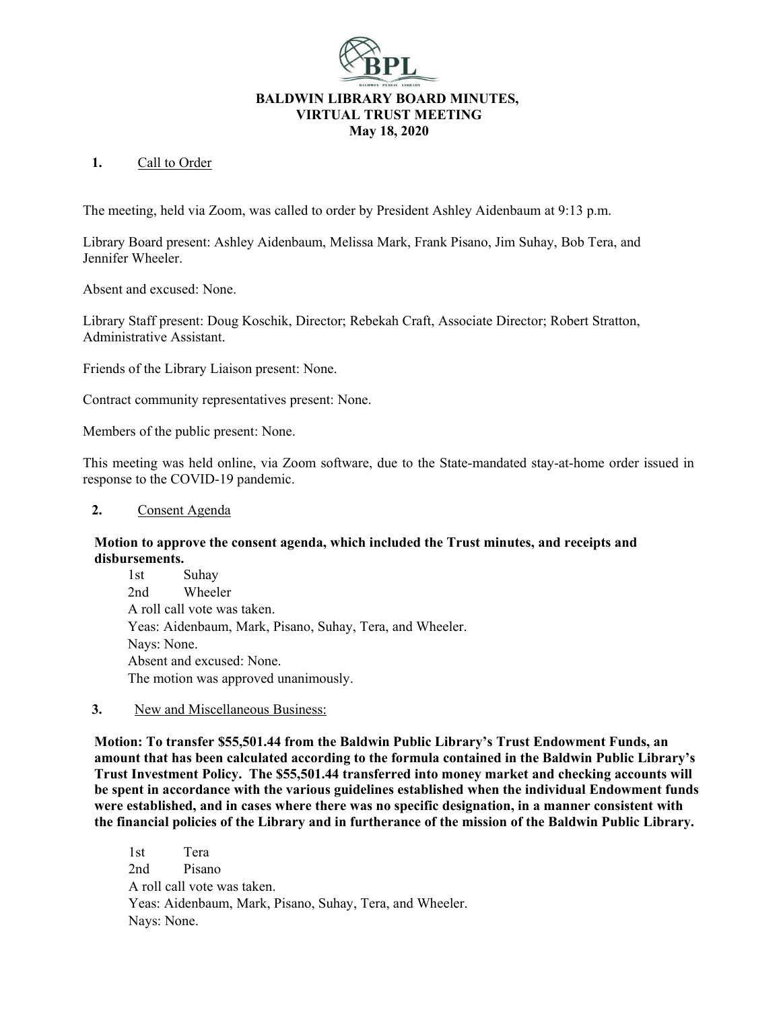

## **1.** Call to Order

The meeting, held via Zoom, was called to order by President Ashley Aidenbaum at 9:13 p.m.

Library Board present: Ashley Aidenbaum, Melissa Mark, Frank Pisano, Jim Suhay, Bob Tera, and Jennifer Wheeler.

Absent and excused: None.

Library Staff present: Doug Koschik, Director; Rebekah Craft, Associate Director; Robert Stratton, Administrative Assistant.

Friends of the Library Liaison present: None.

Contract community representatives present: None.

Members of the public present: None.

This meeting was held online, via Zoom software, due to the State-mandated stay-at-home order issued in response to the COVID-19 pandemic.

## **2.** Consent Agenda

## **Motion to approve the consent agenda, which included the Trust minutes, and receipts and disbursements.**

1st Suhay 2nd Wheeler A roll call vote was taken. Yeas: Aidenbaum, Mark, Pisano, Suhay, Tera, and Wheeler. Nays: None. Absent and excused: None. The motion was approved unanimously.

## **3.** New and Miscellaneous Business:

**Motion: To transfer \$55,501.44 from the Baldwin Public Library's Trust Endowment Funds, an amount that has been calculated according to the formula contained in the Baldwin Public Library's Trust Investment Policy. The \$55,501.44 transferred into money market and checking accounts will be spent in accordance with the various guidelines established when the individual Endowment funds were established, and in cases where there was no specific designation, in a manner consistent with the financial policies of the Library and in furtherance of the mission of the Baldwin Public Library.**

1st Tera 2nd Pisano A roll call vote was taken. Yeas: Aidenbaum, Mark, Pisano, Suhay, Tera, and Wheeler. Nays: None.